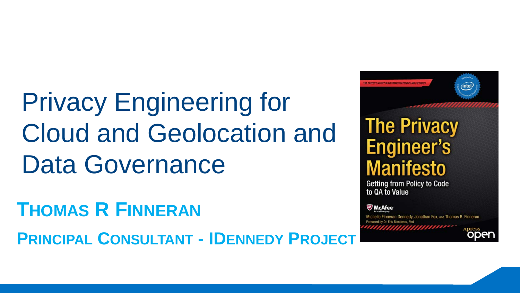Privacy Engineering for Cloud and Geolocation and Data Governance

**THOMAS R FINNERAN**

**PRINCIPAL CONSULTANT - IDENNEDY PROJECT**

**The Privacy Engineer's Manifesto** 

Getting from Policy to Code to OA to Value

씨 McAfee

lle Finneran Dennedy, Jonathan Fox, and Thomas R. Finneran

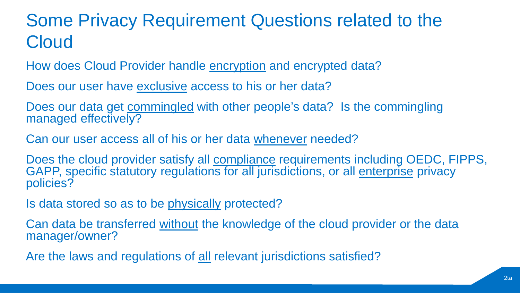## Some Privacy Requirement Questions related to the **Cloud**

How does Cloud Provider handle encryption and encrypted data?

Does our user have exclusive access to his or her data?

Does our data get **commingled** with other people's data? Is the commingling managed effectively?

Can our user access all of his or her data whenever needed?

Does the cloud provider satisfy all **compliance** requirements including OEDC, FIPPS, GAPP, specific statutory regulations for all jurisdictions, or all enterprise privacy policies?

Is data stored so as to be physically protected?

Can data be transferred without the knowledge of the cloud provider or the data manager/owner?

Are the laws and regulations of all relevant jurisdictions satisfied?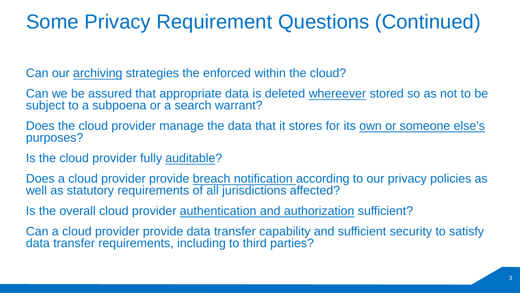# Some Privacy Requirement Questions (Continued)

Can our archiving strategies the enforced within the cloud?

Can we be assured that appropriate data is deleted whereever stored so as not to be subject to a subpoena or a search warrant?

Does the cloud provider manage the data that it stores for its own or someone else's purposes?

Is the cloud provider fully auditable?

Does a cloud provider provide breach notification according to our privacy policies as well as statutory requirements of all jurisdictions affected?

Is the overall cloud provider **authentication and authorization** sufficient?

Can a cloud provider provide data transfer capability and sufficient security to satisfy data transfer requirements, including to third parties?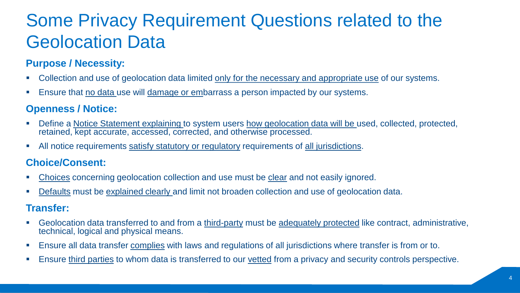# Some Privacy Requirement Questions related to the Geolocation Data

#### **Purpose / Necessity:**

- Collection and use of geolocation data limited only for the necessary and appropriate use of our systems.
- Ensure that no data use will damage or embarrass a person impacted by our systems.

#### **Openness / Notice:**

- Define a Notice Statement explaining to system users how geolocation data will be used, collected, protected, retained, kept accurate, accessed, corrected, and otherwise processed.
- All notice requirements satisfy statutory or regulatory requirements of all jurisdictions.

#### **Choice/Consent:**

- Choices concerning geolocation collection and use must be clear and not easily ignored.
- Defaults must be explained clearly and limit not broaden collection and use of geolocation data.

#### **Transfer:**

- Geolocation data transferred to and from a third-party must be adequately protected like contract, administrative, technical, logical and physical means.
- **Ensure all data transfer complies with laws and regulations of all jurisdictions where transfer is from or to.**
- Ensure third parties to whom data is transferred to our vetted from a privacy and security controls perspective.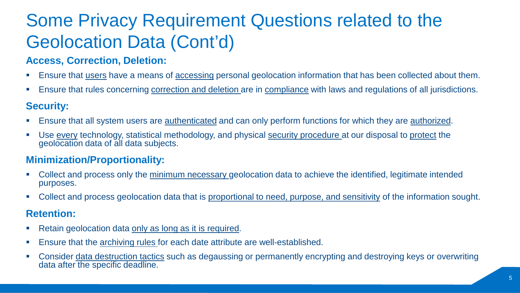# Some Privacy Requirement Questions related to the Geolocation Data (Cont'd)

#### **Access, Correction, Deletion:**

- **Ensure that users have a means of accessing personal geolocation information that has been collected about them.**
- **Ensure that rules concerning correction and deletion are in compliance with laws and regulations of all jurisdictions.**

#### **Security:**

- **Ensure that all system users are authenticated and can only perform functions for which they are authorized.**
- Use every technology, statistical methodology, and physical security procedure at our disposal to protect the geolocation data of all data subjects.

#### **Minimization/Proportionality:**

- Collect and process only the minimum necessary geolocation data to achieve the identified, legitimate intended purposes.
- Collect and process geolocation data that is proportional to need, purpose, and sensitivity of the information sought.

#### **Retention:**

- Retain geolocation data only as long as it is required.
- **Ensure that the archiving rules for each date attribute are well-established.**
- Consider data destruction tactics such as degaussing or permanently encrypting and destroying keys or overwriting data after the specific deadline.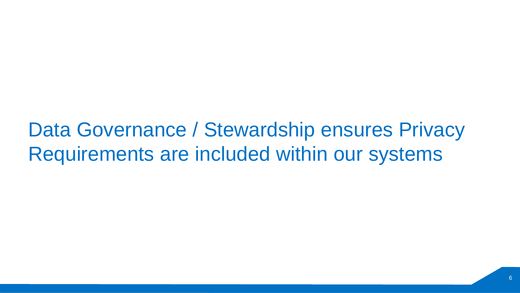Data Governance / Stewardship ensures Privacy Requirements are included within our systems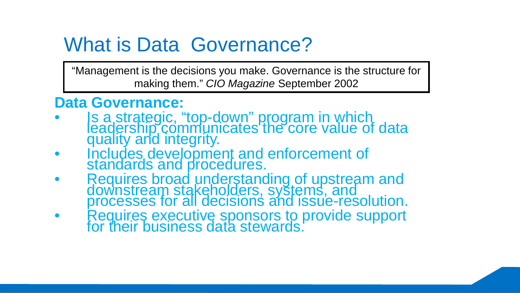# What is Data Governance?

"Management is the decisions you make. Governance is the structure for making them." *CIO Magazine* September 2002

### **Data Governance:**

- Is a strategic, "top-down" program in which<br>leadership communicates the core value of data quality and integrity.
- Includes development and enforcement of standards and procedures.
- Requires broad understanding of upstream and downstream stakeholders, systems, and<br>processes for all decisions and issue-resolution.
- Requires executive sponsors to provide support for their business data stewards.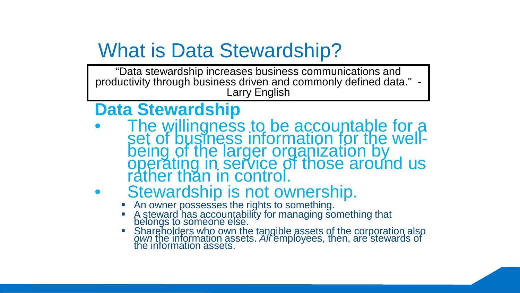# What is Data Stewardship?

"Data stewardship increases business communications and productivity through business driven and commonly defined data." - Larry English

### **Data Stewardship**

The willingness to be accountable for a<br>set of business information for the well-<br>being of the larger organization by<br>operating in service of those around us rather than in control.

# **Stewardship is not ownership.**<br>An owner possesses the rights to something.

- 
- A steward has accountability for managing something that<br>belongs to someone else.
- Shareholders who own the tangible assets of the corporation also *own* the information assets. *All* employees, then, are stewards of the information assets.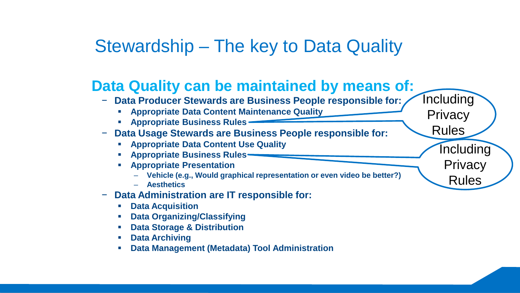### Stewardship – The key to Data Quality

### **Data Quality can be maintained by means of:**

- − **Data Producer Stewards are Business People responsible for:**
	- **Appropriate Data Content Maintenance Quality**
	- **Appropriate Business Rules**
- − **Data Usage Stewards are Business People responsible for:**
	- **Appropriate Data Content Use Quality**
	- **Appropriate Business Rules**
	- **Appropriate Presentation** 
		- **Vehicle (e.g., Would graphical representation or even video be better?)**
		- **Aesthetics**
- − **Data Administration are IT responsible for:** 
	- **Data Acquisition**
	- **Data Organizing/Classifying**
	- **Data Storage & Distribution**
	- **Data Archiving**
	- **Data Management (Metadata) Tool Administration**

Including **Privacy** Rules **Including** 

**Privacy** Rules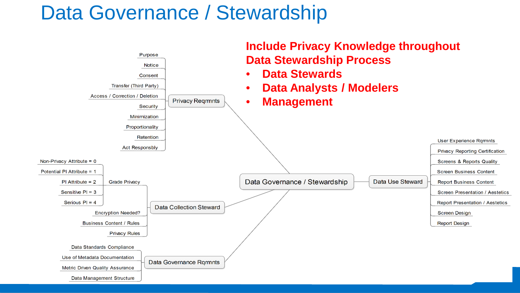# Data Governance / Stewardship

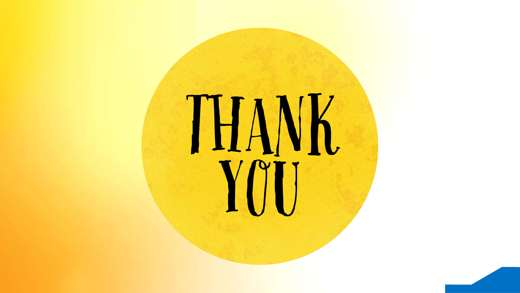